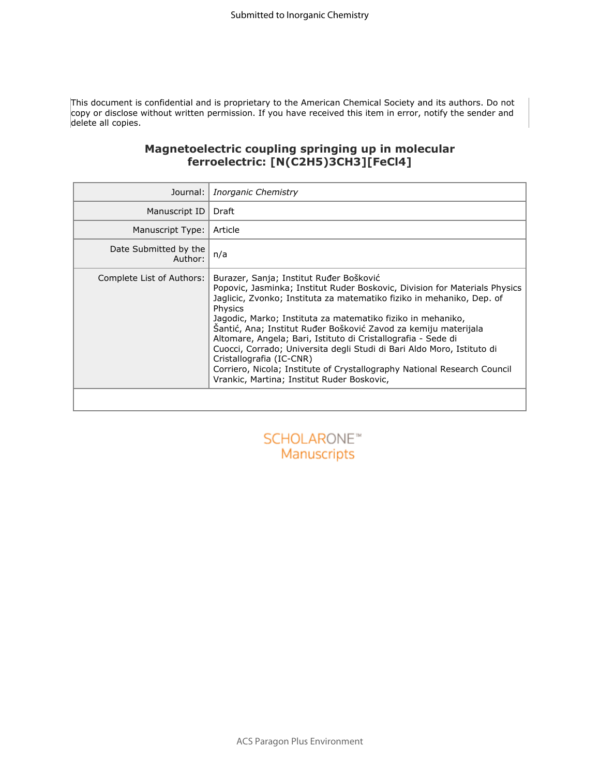This document is confidential and is proprietary to the American Chemical Society and its authors. Do not copy or disclose without written permission. If you have received this item in error, notify the sender and delete all copies.

### **Magnetoelectric coupling springing up in molecular ferroelectric: [N(C2H5)3CH3][FeCl4]**

| Journal:                         | Inorganic Chemistry                                                                                                                                                                                                                                                                                                                                                                                                                                                                                                                                                                                                                          |
|----------------------------------|----------------------------------------------------------------------------------------------------------------------------------------------------------------------------------------------------------------------------------------------------------------------------------------------------------------------------------------------------------------------------------------------------------------------------------------------------------------------------------------------------------------------------------------------------------------------------------------------------------------------------------------------|
| Manuscript ID                    | Draft                                                                                                                                                                                                                                                                                                                                                                                                                                                                                                                                                                                                                                        |
| Manuscript Type:                 | Article                                                                                                                                                                                                                                                                                                                                                                                                                                                                                                                                                                                                                                      |
| Date Submitted by the<br>Author: | n/a                                                                                                                                                                                                                                                                                                                                                                                                                                                                                                                                                                                                                                          |
| Complete List of Authors:        | Burazer, Sanja; Institut Ruđer Bošković<br>Popovic, Jasminka; Institut Ruder Boskovic, Division for Materials Physics<br>Jaglicic, Zvonko; Instituta za matematiko fiziko in mehaniko, Dep. of<br>Physics<br>Jagodic, Marko; Instituta za matematiko fiziko in mehaniko,<br>Šantić, Ana; Institut Ruđer Bošković Zavod za kemiju materijala<br>Altomare, Angela; Bari, Istituto di Cristallografia - Sede di<br>Cuocci, Corrado; Universita degli Studi di Bari Aldo Moro, Istituto di<br>Cristallografia (IC-CNR)<br>Corriero, Nicola; Institute of Crystallography National Research Council<br>Vrankic, Martina; Institut Ruder Boskovic, |

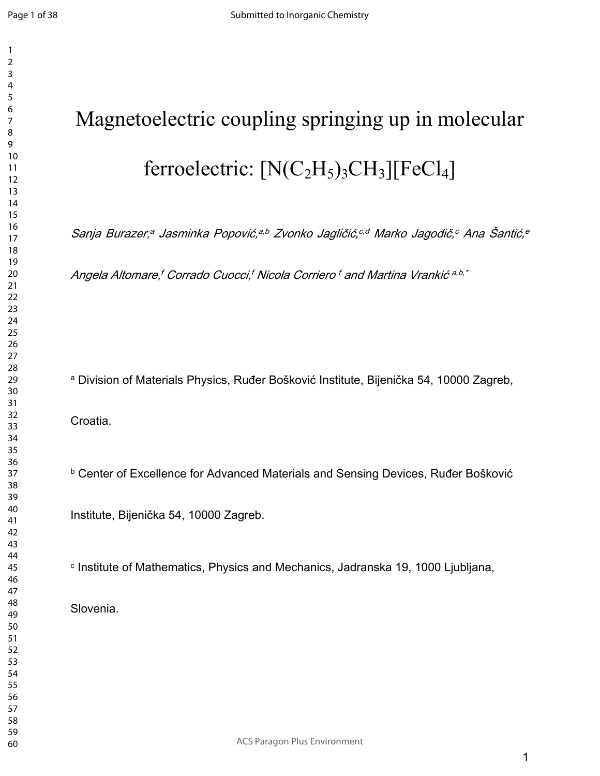# Magnetoelectric coupling springing up in molecular ferroelectric:  $[N(C_2H_5)_3CH_3][FeCl_4]$

*Sanja Burazer, a Jasminka Popović, a,b Zvonko Jagličić, c,d Marko Jagodič, c Ana Šantić, e*

*Angela Altomare, f Corrado Cuocci, f Nicola Corriero f and Martina Vrankić a,b,\**

<sup>a</sup> Division of Materials Physics, Ruđer Bošković Institute, Bijenička 54, 10000 Zagreb,

Croatia.

**b Center of Excellence for Advanced Materials and Sensing Devices, Ruđer Bošković** 

Institute, Bijenička 54, 10000 Zagreb.

c Institute of Mathematics, Physics and Mechanics, Jadranska 19, 1000 Ljubljana,

Slovenia.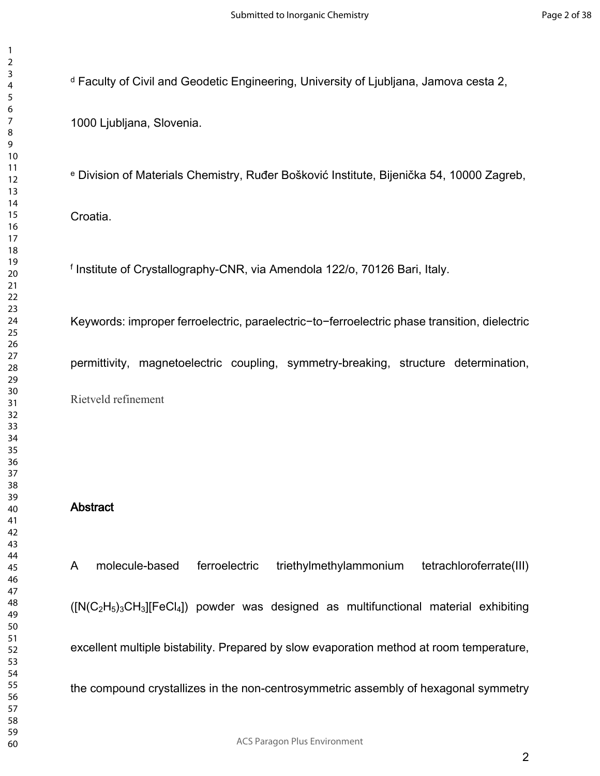<sup>d</sup> Faculty of Civil and Geodetic Engineering, University of Ljubljana, Jamova cesta 2,

1000 Ljubljana, Slovenia.

e Division of Materials Chemistry, Ruđer Bošković Institute, Bijenička 54, 10000 Zagreb,

Croatia.

f Institute of Crystallography-CNR, via Amendola 122/o, 70126 Bari, Italy.

Keywords: improper ferroelectric, paraelectric−to−ferroelectric phase transition, dielectric permittivity, magnetoelectric coupling, symmetry-breaking, structure determination, Rietveld refinement

## **Abstract**

A molecule-based ferroelectric triethylmethylammonium tetrachloroferrate(III)  $([N(C<sub>2</sub>H<sub>5</sub>)<sub>3</sub>CH<sub>3</sub>][FeCl<sub>4</sub>])$  powder was designed as multifunctional material exhibiting excellent multiple bistability. Prepared by slow evaporation method at room temperature, the compound crystallizes in the non-centrosymmetric assembly of hexagonal symmetry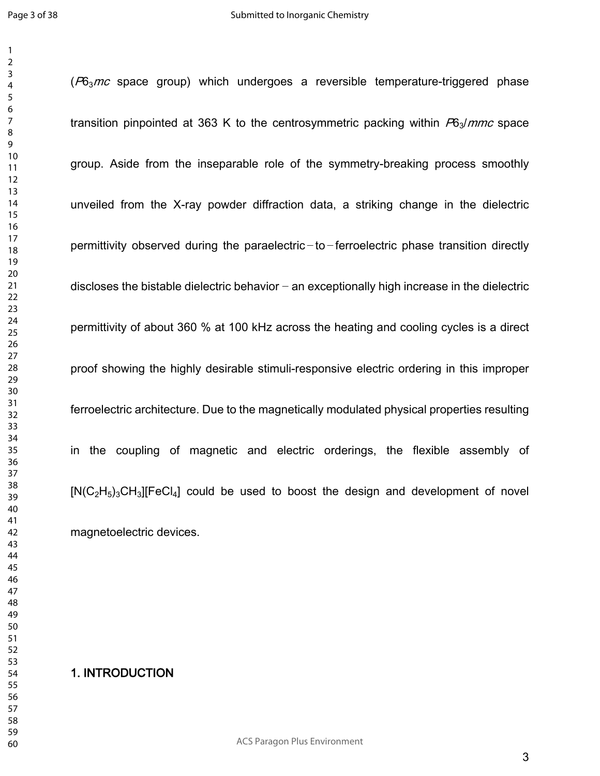(*P*63*mc* space group) which undergoes a reversible temperature-triggered phase transition pinpointed at 363 K to the centrosymmetric packing within *P*6<sub>3</sub>/*mmc* space group. Aside from the inseparable role of the symmetry-breaking process smoothly unveiled from the X-ray powder diffraction data, a striking change in the dielectric permittivity observed during the paraelectric − to − ferroelectric phase transition directly discloses the bistable dielectric behavior − an exceptionally high increase in the dielectric permittivity of about 360 % at 100 kHz across the heating and cooling cycles is a direct proof showing the highly desirable stimuli-responsive electric ordering in this improper ferroelectric architecture. Due to the magnetically modulated physical properties resulting in the coupling of magnetic and electric orderings, the flexible assembly of  $[N(C_2H_5)_3CH_3]$ [FeCl<sub>4</sub>] could be used to boost the design and development of novel magnetoelectric devices.

#### **1. INTRODUCTION**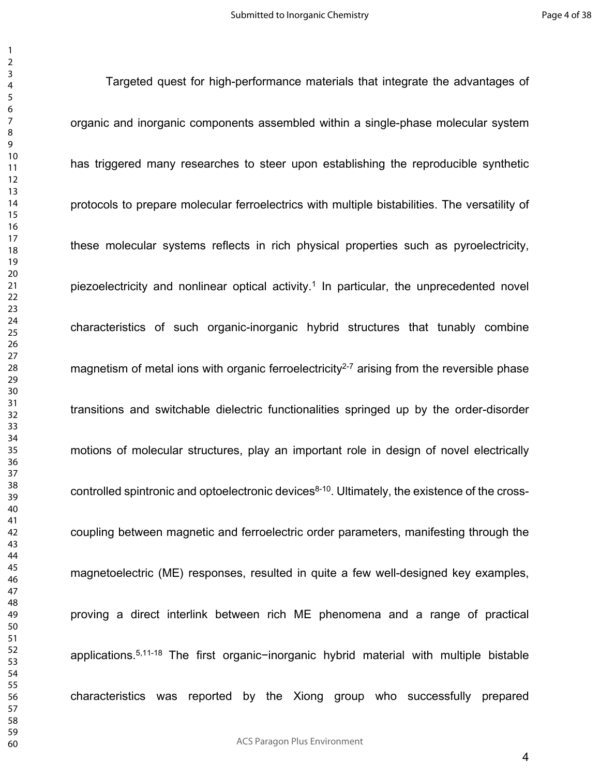Targeted quest for high-performance materials that integrate the advantages of

organic and inorganic components assembled within a single-phase molecular system has triggered many researches to steer upon establishing the reproducible synthetic protocols to prepare molecular ferroelectrics with multiple bistabilities. The versatility of these molecular systems reflects in rich physical properties such as pyroelectricity, piezoelectricity and nonlinear optical activity.<sup>1</sup> In particular, the unprecedented novel characteristics of such organic-inorganic hybrid structures that tunably combine magnetism of metal ions with organic ferroelectricity<sup>2-7</sup> arising from the reversible phase transitions and switchable dielectric functionalities springed up by the order-disorder motions of molecular structures, play an important role in design of novel electrically controlled spintronic and optoelectronic devices<sup>8-10</sup>. Ultimately, the existence of the crosscoupling between magnetic and ferroelectric order parameters, manifesting through the magnetoelectric (ME) responses, resulted in quite a few well-designed key examples, proving a direct interlink between rich ME phenomena and a range of practical applications.5,11-18 The first organic−inorganic hybrid material with multiple bistable characteristics was reported by the Xiong group who successfully prepared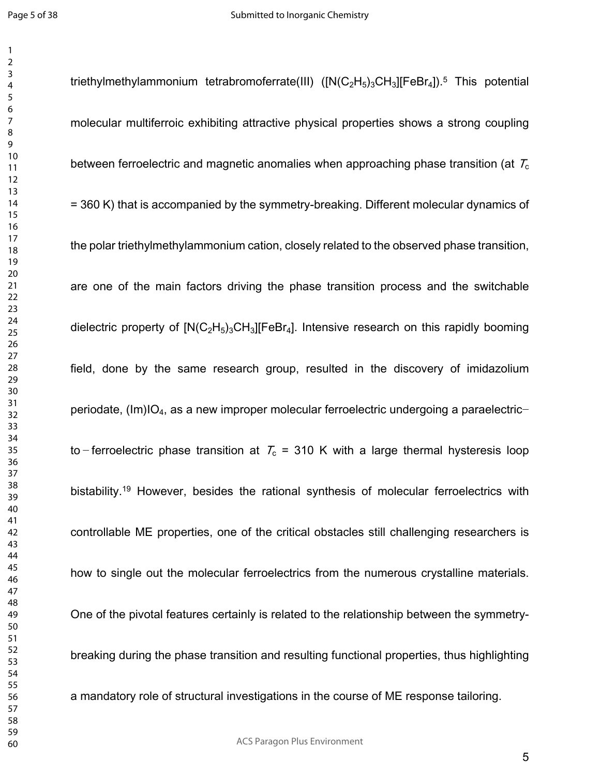triethylmethylammonium tetrabromoferrate(III) ([N(C<sub>2</sub>H<sub>5</sub>)<sub>3</sub>CH<sub>3</sub>][FeBr<sub>4</sub>]).<sup>5</sup> This potential molecular multiferroic exhibiting attractive physical properties shows a strong coupling between ferroelectric and magnetic anomalies when approaching phase transition (at *T*<sup>c</sup> = 360 K) that is accompanied by the symmetry-breaking. Different molecular dynamics of the polar triethylmethylammonium cation, closely related to the observed phase transition, are one of the main factors driving the phase transition process and the switchable dielectric property of  $[N(C_2H_5)_3CH_3][FeBr_4]$ . Intensive research on this rapidly booming field, done by the same research group, resulted in the discovery of imidazolium periodate, (Im)IO<sub>4</sub>, as a new improper molecular ferroelectric undergoing a paraelectric− to − ferroelectric phase transition at  $T_c$  = 310 K with a large thermal hysteresis loop bistability.<sup>19</sup> However, besides the rational synthesis of molecular ferroelectrics with controllable ME properties, one of the critical obstacles still challenging researchers is how to single out the molecular ferroelectrics from the numerous crystalline materials. One of the pivotal features certainly is related to the relationship between the symmetrybreaking during the phase transition and resulting functional properties, thus highlighting a mandatory role of structural investigations in the course of ME response tailoring.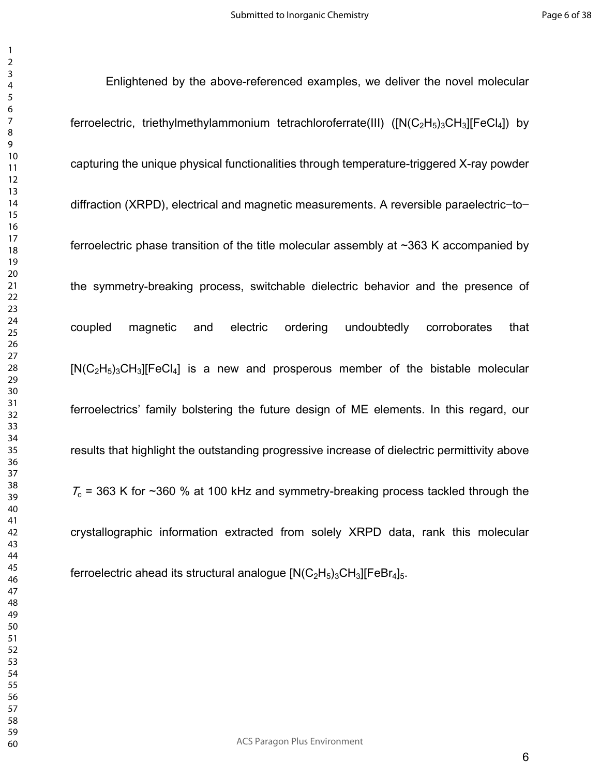Enlightened by the above-referenced examples, we deliver the novel molecular ferroelectric, triethylmethylammonium tetrachloroferrate(III) ( $[N(C_2H_5)_3CH_3][FeCl_4]$ ) by capturing the unique physical functionalities through temperature-triggered X-ray powder diffraction (XRPD), electrical and magnetic measurements. A reversible paraelectric−to− ferroelectric phase transition of the title molecular assembly at ~363 K accompanied by the symmetry-breaking process, switchable dielectric behavior and the presence of coupled magnetic and electric ordering undoubtedly corroborates that  $[N(C_2H_5)_3CH_3]$ [FeCl<sub>4</sub>] is a new and prosperous member of the bistable molecular ferroelectrics' family bolstering the future design of ME elements. In this regard, our results that highlight the outstanding progressive increase of dielectric permittivity above  $T_c$  = 363 K for  $\sim$ 360 % at 100 kHz and symmetry-breaking process tackled through the crystallographic information extracted from solely XRPD data, rank this molecular ferroelectric ahead its structural analogue  $[N(C_2H_5)_3CH_3][FeBr_4]_5$ .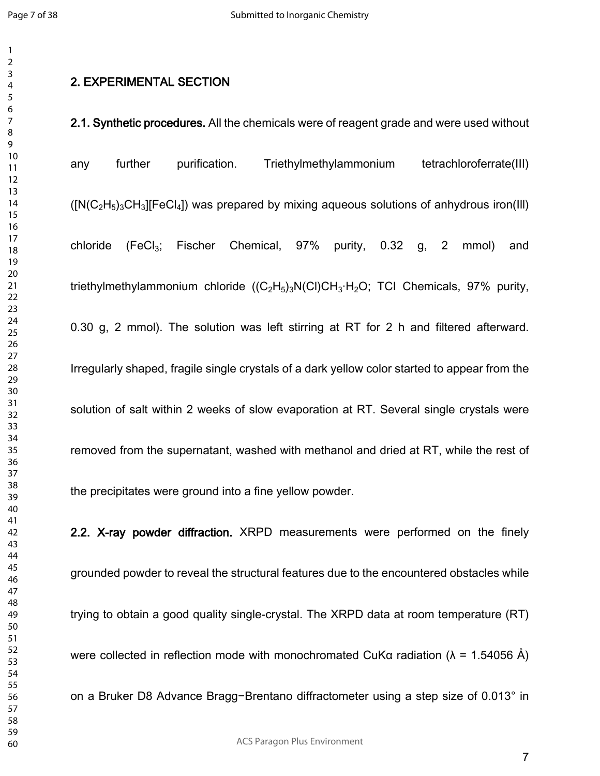## **2. EXPERIMENTAL SECTION**

**2.1. Synthetic procedures.** All the chemicals were of reagent grade and were used without any further purification. Triethylmethylammonium tetrachloroferrate(III)  $(\text{[N}(C_2H_5)_3CH_3][FeCl_4])$  was prepared by mixing aqueous solutions of anhydrous iron(III) chloride (FeCl<sub>3</sub>; Fischer Chemical, 97% purity, 0.32 g, 2 mmol) and triethylmethylammonium chloride  $((C_2H_5)_3N(C)CH_3H_2O; TCl$  Chemicals, 97% purity, 0.30 g, 2 mmol). The solution was left stirring at RT for 2 h and filtered afterward. Irregularly shaped, fragile single crystals of a dark yellow color started to appear from the solution of salt within 2 weeks of slow evaporation at RT. Several single crystals were removed from the supernatant, washed with methanol and dried at RT, while the rest of the precipitates were ground into a fine yellow powder.

**2.2. X-ray powder diffraction.** XRPD measurements were performed on the finely grounded powder to reveal the structural features due to the encountered obstacles while trying to obtain a good quality single-crystal. The XRPD data at room temperature (RT) were collected in reflection mode with monochromated CuKα radiation ( $λ = 1.54056$  Å) on a Bruker D8 Advance Bragg−Brentano diffractometer using a step size of 0.013° in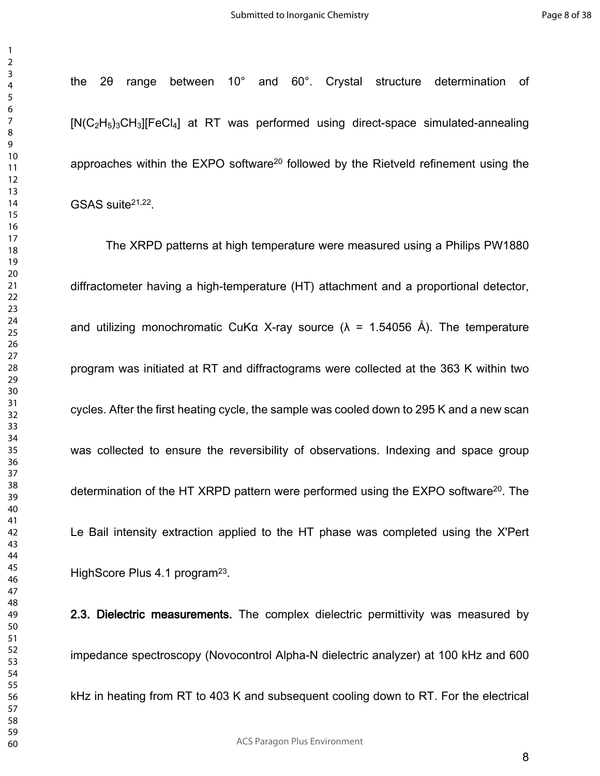the 2θ range between 10° and 60°. Crystal structure determination of  $[N(C_2H_5)_3CH_3][FeCl_4]$  at RT was performed using direct-space simulated-annealing approaches within the EXPO software<sup>20</sup> followed by the Rietveld refinement using the GSAS suite<sup>21,22</sup>.

The XRPD patterns at high temperature were measured using a Philips PW1880 diffractometer having a high-temperature (HT) attachment and a proportional detector, and utilizing monochromatic CuKa X-ray source  $(\lambda = 1.54056 \text{ Å})$ . The temperature program was initiated at RT and diffractograms were collected at the 363 K within two cycles. After the first heating cycle, the sample was cooled down to 295 K and a new scan was collected to ensure the reversibility of observations. Indexing and space group determination of the HT XRPD pattern were performed using the EXPO software<sup>20</sup>. The Le Bail intensity extraction applied to the HT phase was completed using the X'Pert HighScore Plus 4.1 program<sup>23</sup>.

**2.3. Dielectric measurements.** The complex dielectric permittivity was measured by impedance spectroscopy (Novocontrol Alpha-N dielectric analyzer) at 100 kHz and 600 kHz in heating from RT to 403 K and subsequent cooling down to RT. For the electrical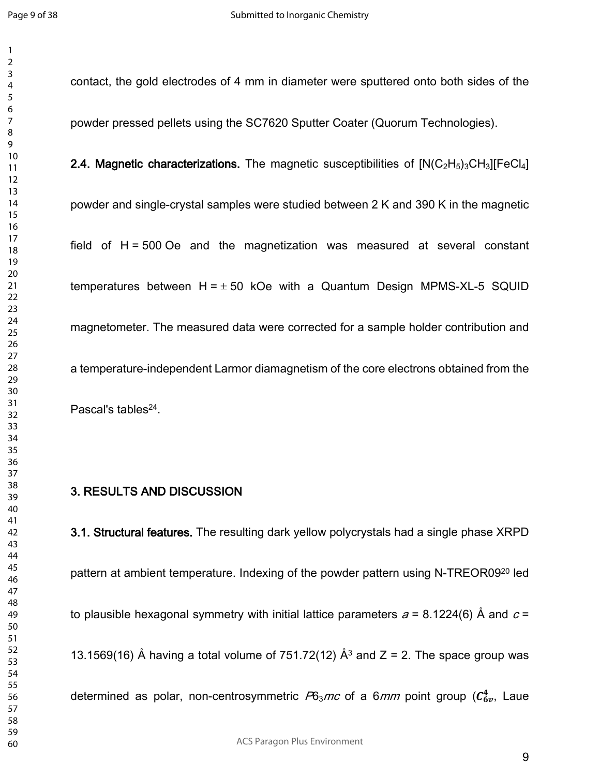contact, the gold electrodes of 4 mm in diameter were sputtered onto both sides of the powder pressed pellets using the SC7620 Sputter Coater (Quorum Technologies).

**2.4. Magnetic characterizations.** The magnetic susceptibilities of  $[N(C_2H_5)_3CH_3][FeCl_4]$ powder and single-crystal samples were studied between 2 K and 390 K in the magnetic field of H = 500 Oe and the magnetization was measured at several constant temperatures between  $H = \pm 50$  kOe with a Quantum Design MPMS-XL-5 SQUID magnetometer. The measured data were corrected for a sample holder contribution and a temperature-independent Larmor diamagnetism of the core electrons obtained from the Pascal's tables<sup>24</sup>.

#### **3. RESULTS AND DISCUSSION**

**3.1. Structural features.** The resulting dark yellow polycrystals had a single phase XRPD pattern at ambient temperature. Indexing of the powder pattern using N-TREOR09<sup>20</sup> led to plausible hexagonal symmetry with initial lattice parameters *a* = 8.1224(6) Å and *c* = 13.1569(16) Å having a total volume of 751.72(12)  $\mathsf{A}^3$  and Z = 2. The space group was determined as polar, non-centrosymmetric  $P6_3mc$  of a 6mm point group ( $C_{6v}^4$ , Laue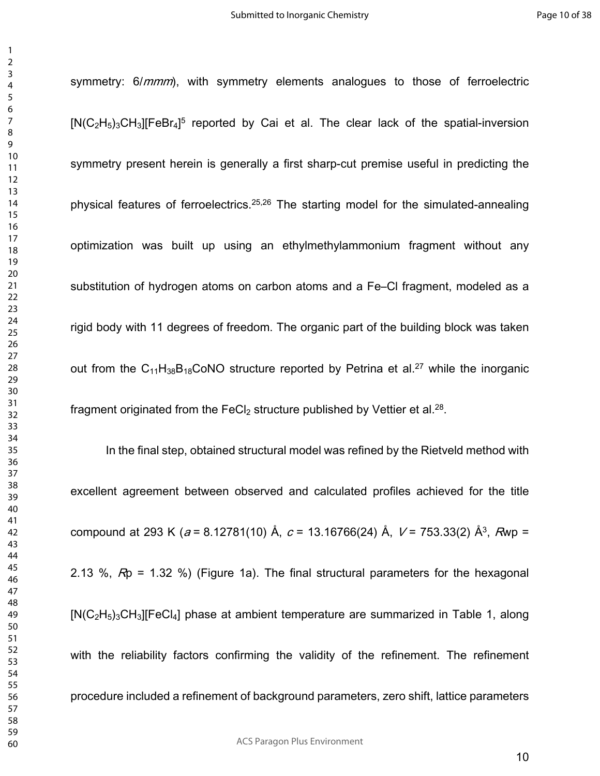symmetry: 6/*mmm*), with symmetry elements analogues to those of ferroelectric

 $[N(C_2H_5)_3CH_3]$ [FeBr<sub>4</sub>]<sup>5</sup> reported by Cai et al. The clear lack of the spatial-inversion symmetry present herein is generally a first sharp-cut premise useful in predicting the physical features of ferroelectrics.25,26 The starting model for the simulated-annealing optimization was built up using an ethylmethylammonium fragment without any substitution of hydrogen atoms on carbon atoms and a Fe–Cl fragment, modeled as a rigid body with 11 degrees of freedom. The organic part of the building block was taken out from the  $C_{11}H_{38}B_{18}C_0NO$  structure reported by Petrina et al.<sup>27</sup> while the inorganic fragment originated from the  $FeCl<sub>2</sub>$  structure published by Vettier et al.<sup>28</sup>.

In the final step, obtained structural model was refined by the Rietveld method with excellent agreement between observed and calculated profiles achieved for the title compound at 293 K (*a* = 8.12781(10) Å, *c* = 13.16766(24) Å, *V* = 753.33(2) Å<sup>3</sup> , *R*wp = 2.13 %, *R*p = 1.32 %) (Figure 1a). The final structural parameters for the hexagonal  $[N(C_2H_5)_3CH_3]$ [FeCl<sub>4</sub>] phase at ambient temperature are summarized in Table 1, along with the reliability factors confirming the validity of the refinement. The refinement procedure included a refinement of background parameters, zero shift, lattice parameters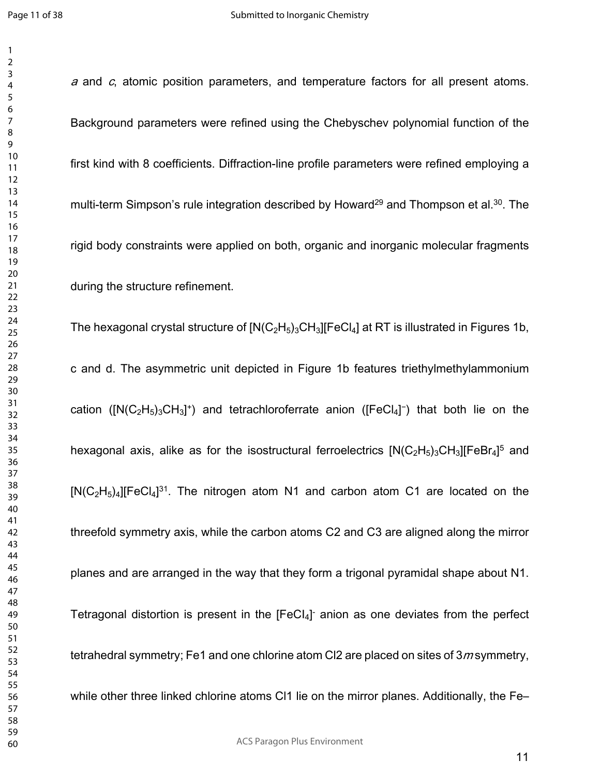*<sup>a</sup>* and *c*, atomic position parameters, and temperature factors for all present atoms.

Background parameters were refined using the Chebyschev polynomial function of the first kind with 8 coefficients. Diffraction-line profile parameters were refined employing a multi-term Simpson's rule integration described by Howard<sup>29</sup> and Thompson et al.<sup>30</sup>. The rigid body constraints were applied on both, organic and inorganic molecular fragments during the structure refinement.

The hexagonal crystal structure of  $[N(C_2H_5)_3CH_3]$  [FeCl<sub>4</sub>] at RT is illustrated in Figures 1b, c and d. The asymmetric unit depicted in Figure 1b features triethylmethylammonium cation ( $[N(C_2H_5)_3CH_3]^+$ ) and tetrachloroferrate anion ( $[FeCl_4]^-)$  that both lie on the hexagonal axis, alike as for the isostructural ferroelectrics  $[N(C_2H_5)_3CH_3][\text{FeBr}_4]^5$  and  $[N(C_2H_5)_4][FeCl_4]^{31}$ . The nitrogen atom N1 and carbon atom C1 are located on the threefold symmetry axis, while the carbon atoms C2 and C3 are aligned along the mirror planes and are arranged in the way that they form a trigonal pyramidal shape about N1. Tetragonal distortion is present in the [FeCl<sub>4</sub>] anion as one deviates from the perfect tetrahedral symmetry; Fe1 and one chlorine atom Cl2 are placed on sites of 3*m* symmetry, while other three linked chlorine atoms Cl1 lie on the mirror planes. Additionally, the Fe-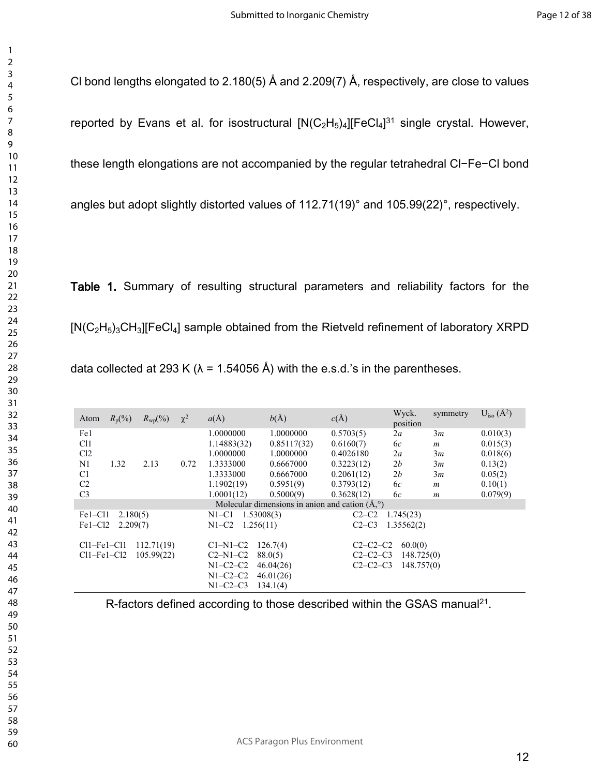Cl bond lengths elongated to 2.180(5) Å and 2.209(7) Å, respectively, are close to values reported by Evans et al. for isostructural  $[N(C_2H_5)_4][\text{FeCl}_4]^{31}$  single crystal. However, these length elongations are not accompanied by the regular tetrahedral Cl−Fe−Cl bond

angles but adopt slightly distorted values of 112.71(19)° and 105.99(22)°, respectively.

**Table 1.** Summary of resulting structural parameters and reliability factors for the  $[N(C_2H_5)_3CH_3]$ [FeCl<sub>4</sub>] sample obtained from the Rietveld refinement of laboratory XRPD

data collected at 293 K ( $\lambda$  = 1.54056 Å) with the e.s.d.'s in the parentheses.

| Atom                                                    | $R_{p}(%)$ | $R_{\text{wp}}(\%)$ | $\chi^2$              | $a(\AA)$                              | $b(\AA)$                 | c(A)       | Wyck.<br>position | symmetry         | U <sub>iso</sub> (Å <sup>2</sup> ) |  |  |
|---------------------------------------------------------|------------|---------------------|-----------------------|---------------------------------------|--------------------------|------------|-------------------|------------------|------------------------------------|--|--|
| Fe1                                                     |            |                     |                       | 1.0000000                             | 1.0000000                | 0.5703(5)  | 2a                | 3m               | 0.010(3)                           |  |  |
| C <sub>11</sub>                                         |            |                     |                       | 1.14883(32)                           | 0.85117(32)              | 0.6160(7)  | 6c                | $\boldsymbol{m}$ | 0.015(3)                           |  |  |
| Cl <sub>2</sub>                                         |            |                     |                       | 1.0000000                             | 1.0000000                | 0.4026180  | 2a                | 3m               | 0.018(6)                           |  |  |
| N1                                                      | 1.32       | 2.13                | 0.72                  | 1.3333000                             | 0.6667000                | 0.3223(12) | 2b                | 3m               | 0.13(2)                            |  |  |
| C <sub>1</sub>                                          |            |                     |                       | 1.3333000                             | 0.6667000                | 0.2061(12) | 2b                | 3m               | 0.05(2)                            |  |  |
| C <sub>2</sub>                                          |            |                     |                       | 1.1902(19)                            | 0.5951(9)                | 0.3793(12) | 6c                | $\boldsymbol{m}$ | 0.10(1)                            |  |  |
| C <sub>3</sub>                                          |            |                     |                       | 1.0001(12)                            | 0.5000(9)                | 0.3628(12) | 6c                | $\boldsymbol{m}$ | 0.079(9)                           |  |  |
| Molecular dimensions in anion and cation $(A,^{\circ})$ |            |                     |                       |                                       |                          |            |                   |                  |                                    |  |  |
| $Fe1-C11$                                               | 2.180(5)   |                     |                       | $N1-C1$<br>1.53008(3)                 |                          | $C2-C2$    | 1.745(23)         |                  |                                    |  |  |
| $Fe1-C12$<br>2.209(7)                                   |            |                     | $N1-C2$<br>1.256(11)  |                                       | $C2-C3$                  | 1.35562(2) |                   |                  |                                    |  |  |
|                                                         |            |                     |                       |                                       |                          |            |                   |                  |                                    |  |  |
| Cl1–Fe1–Cl1                                             |            | 112.71(19)          |                       | $C1-N1-C2$                            | 126.7(4)                 | $C2-C2-C2$ | 60.0(0)           |                  |                                    |  |  |
| $Cl1-Fel-Cl2$<br>105.99(22)                             |            |                     | $C2-N1-C2$<br>88.0(5) |                                       | $C2-C2-C3$<br>148.725(0) |            |                   |                  |                                    |  |  |
|                                                         |            |                     |                       | $C2-C2-C3$<br>$N1-C2-C2$<br>46.04(26) |                          |            |                   | 148.757(0)       |                                    |  |  |
|                                                         |            |                     |                       | $N1-C2-C2$                            | 46.01(26)                |            |                   |                  |                                    |  |  |
|                                                         |            |                     |                       | $N1-C2-C3$                            | 134.1(4)                 |            |                   |                  |                                    |  |  |

R-factors defined according to those described within the GSAS manual<sup>21</sup>.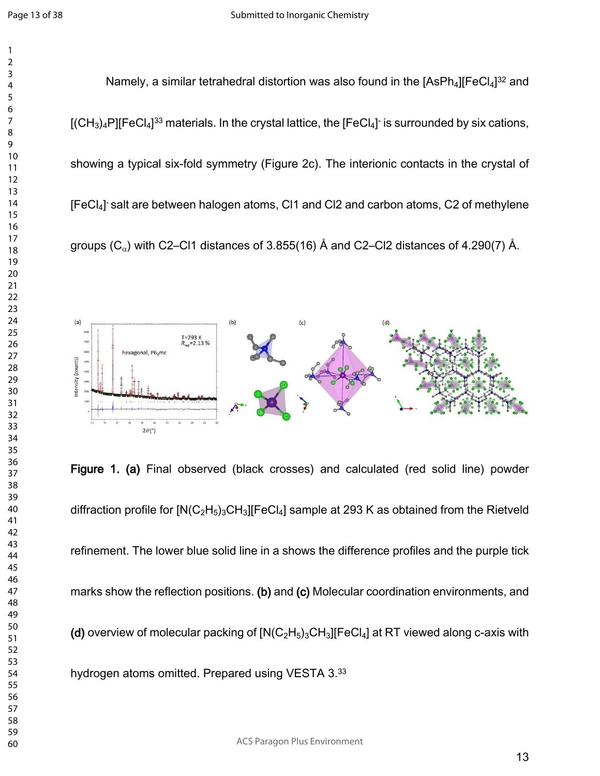Namely, a similar tetrahedral distortion was also found in the  $[AsPh<sub>4</sub>][FeCl<sub>4</sub>]^{32}$  and [(CH<sub>3</sub>)<sub>4</sub>P][FeCl<sub>4</sub>]<sup>33</sup> materials. In the crystal lattice, the [FeCl<sub>4</sub>]<sup>-</sup> is surrounded by six cations, showing a typical six-fold symmetry (Figure 2c). The interionic contacts in the crystal of [FeCl<sub>4</sub>] salt are between halogen atoms, Cl1 and Cl2 and carbon atoms, C2 of methylene groups  $(C_{\alpha})$  with C2–Cl1 distances of 3.855(16) Å and C2–Cl2 distances of 4.290(7) Å.



**Figure 1. (a)** Final observed (black crosses) and calculated (red solid line) powder diffraction profile for  $[N(C_2H_5)_3CH_3]$  [FeCl<sub>4</sub>] sample at 293 K as obtained from the Rietveld refinement. The lower blue solid line in a shows the difference profiles and the purple tick marks show the reflection positions. **(b)** and **(c)** Molecular coordination environments, and (d) overview of molecular packing of  $[N(C_2H_5)_3CH_3][FeCl_4]$  at RT viewed along c-axis with hydrogen atoms omitted. Prepared using VESTA 3.<sup>33</sup>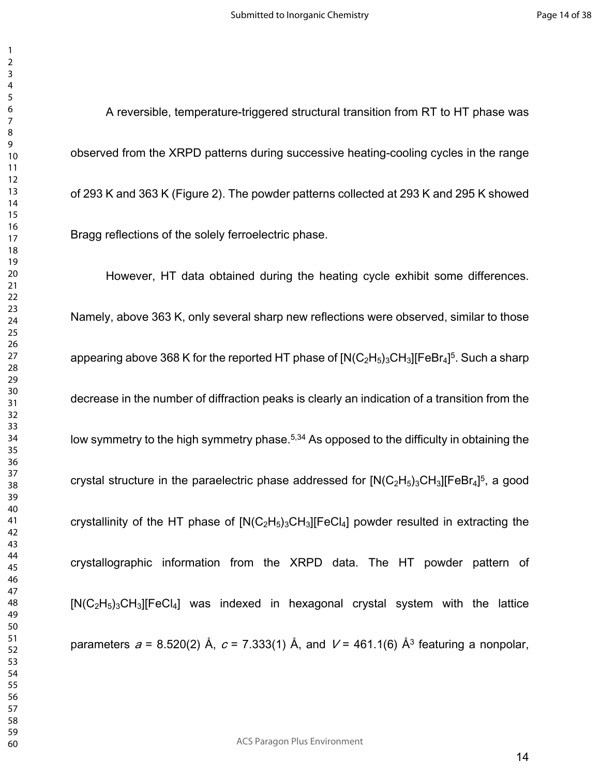A reversible, temperature-triggered structural transition from RT to HT phase was observed from the XRPD patterns during successive heating-cooling cycles in the range of 293 K and 363 K (Figure 2). The powder patterns collected at 293 K and 295 K showed Bragg reflections of the solely ferroelectric phase.

However, HT data obtained during the heating cycle exhibit some differences. Namely, above 363 K, only several sharp new reflections were observed, similar to those appearing above 368 K for the reported HT phase of [N(C $_2$ H $_5$ ) $_3$ CH $_3$ ][FeBr $_4$ ] $^5$ . Such a sharp decrease in the number of diffraction peaks is clearly an indication of a transition from the low symmetry to the high symmetry phase.<sup>5,34</sup> As opposed to the difficulty in obtaining the crystal structure in the paraelectric phase addressed for  $[N(C_2H_5)_3CH_3][FeBr_4]^5$ , a good crystallinity of the HT phase of  $[N(C_2H_5)_3CH_3][FeCl_4]$  powder resulted in extracting the crystallographic information from the XRPD data. The HT powder pattern of  $[N(C_2H_5)_3CH_3]$ [FeCl<sub>4</sub>] was indexed in hexagonal crystal system with the lattice parameters *a* = 8.520(2) Å, *c* = 7.333(1) Å, and *V* = 461.1(6) Å<sup>3</sup> featuring a nonpolar,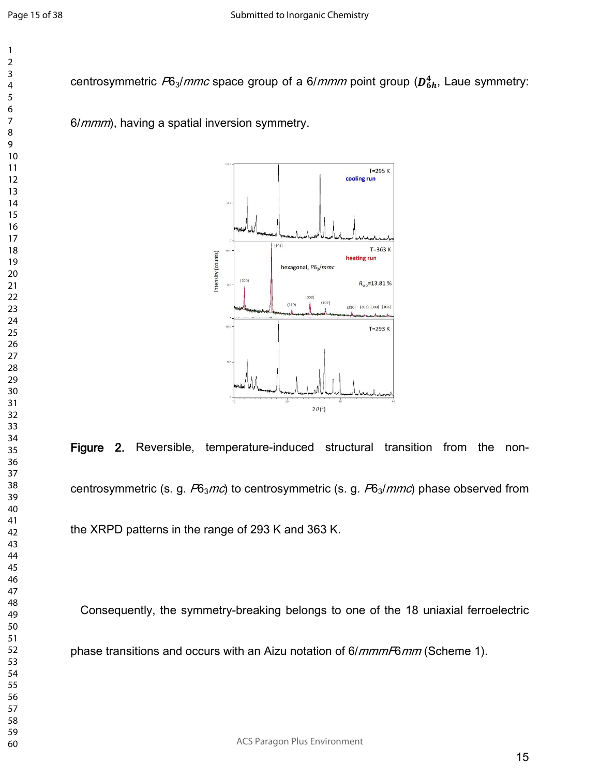6/*mmm*), having a spatial inversion symmetry.



**Figure 2.** Reversible, temperature-induced structural transition from the noncentrosymmetric (s. g.  $P6_3mc$ ) to centrosymmetric (s. g.  $P6_3/mmc$ ) phase observed from the XRPD patterns in the range of 293 K and 363 K.

Consequently, the symmetry-breaking belongs to one of the 18 uniaxial ferroelectric

phase transitions and occurs with an Aizu notation of 6/*mmmF*6*mm* (Scheme 1).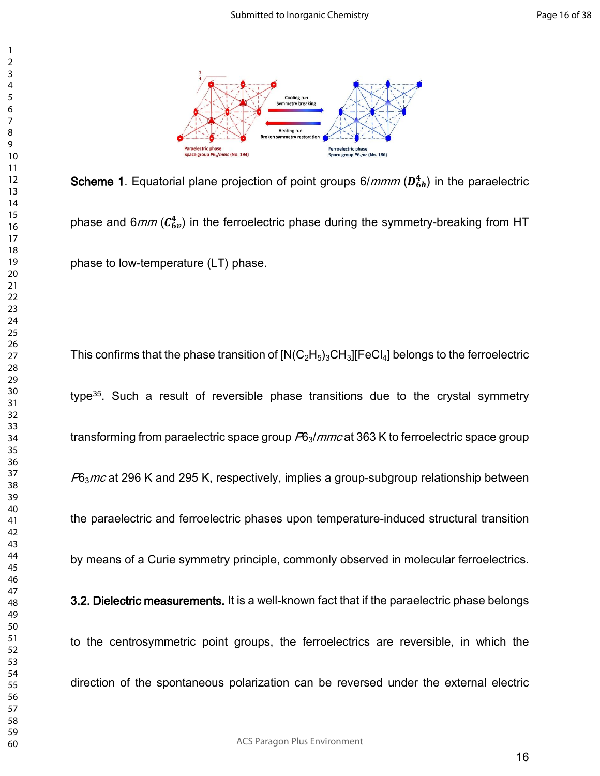

**Scheme 1**. Equatorial plane projection of point groups 6/*mmm* ( $D_{6h}^4$ ) in the paraelectric phase and 6 $mm$  ( $\mathcal{C}^4_{6v}$ ) in the ferroelectric phase during the symmetry-breaking from HT

phase to low-temperature (LT) phase.

This confirms that the phase transition of  $[N(C_2H_5)_3CH_3][FeCl_4]$  belongs to the ferroelectric type<sup>35</sup>. Such a result of reversible phase transitions due to the crystal symmetry transforming from paraelectric space group *P*63/*mmc* at 363 K to ferroelectric space group *P*6<sub>3</sub>*mc* at 296 K and 295 K, respectively, implies a group-subgroup relationship between the paraelectric and ferroelectric phases upon temperature-induced structural transition by means of a Curie symmetry principle, commonly observed in molecular ferroelectrics. **3.2. Dielectric measurements.** It is a well-known fact that if the paraelectric phase belongs to the centrosymmetric point groups, the ferroelectrics are reversible, in which the direction of the spontaneous polarization can be reversed under the external electric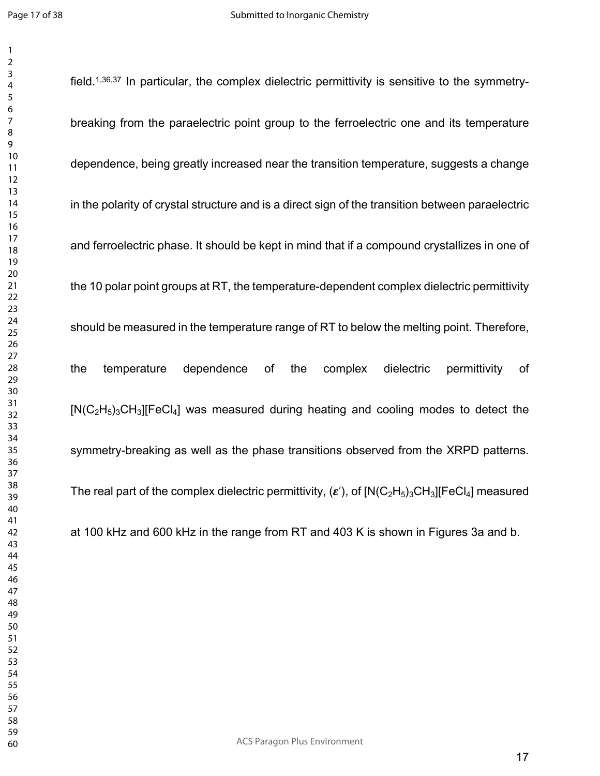field.<sup>1,36,37</sup> In particular, the complex dielectric permittivity is sensitive to the symmetrybreaking from the paraelectric point group to the ferroelectric one and its temperature dependence, being greatly increased near the transition temperature, suggests a change in the polarity of crystal structure and is a direct sign of the transition between paraelectric and ferroelectric phase. It should be kept in mind that if a compound crystallizes in one of the 10 polar point groups at RT, the temperature-dependent complex dielectric permittivity should be measured in the temperature range of RT to below the melting point. Therefore, the temperature dependence of the complex dielectric permittivity of  $[N(C_2H_5)_3CH_3][FeCl_4]$  was measured during heating and cooling modes to detect the symmetry-breaking as well as the phase transitions observed from the XRPD patterns. The real part of the complex dielectric permittivity,  $(\varepsilon')$ , of  $[ N(C_2 H_5)_3 CH_3][FeCl_4]$  measured at 100 kHz and 600 kHz in the range from RT and 403 K is shown in Figures 3a and b.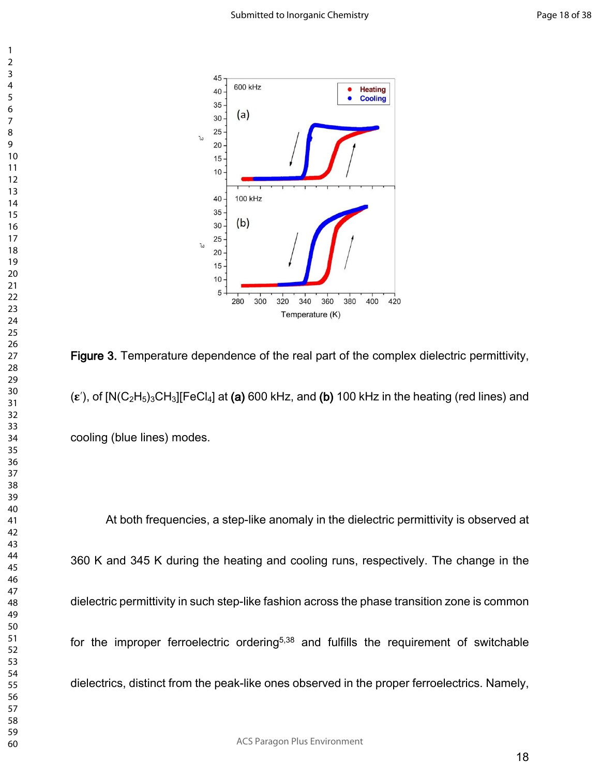

**Figure 3.** Temperature dependence of the real part of the complex dielectric permittivity,  $(\epsilon')$ , of  $[N(C_2H_5)_3CH_3][FeCl_4]$  at **(a)** 600 kHz, and **(b)** 100 kHz in the heating (red lines) and cooling (blue lines) modes.

At both frequencies, a step-like anomaly in the dielectric permittivity is observed at 360 K and 345 K during the heating and cooling runs, respectively. The change in the dielectric permittivity in such step-like fashion across the phase transition zone is common for the improper ferroelectric ordering<sup>5,38</sup> and fulfills the requirement of switchable dielectrics, distinct from the peak-like ones observed in the proper ferroelectrics. Namely,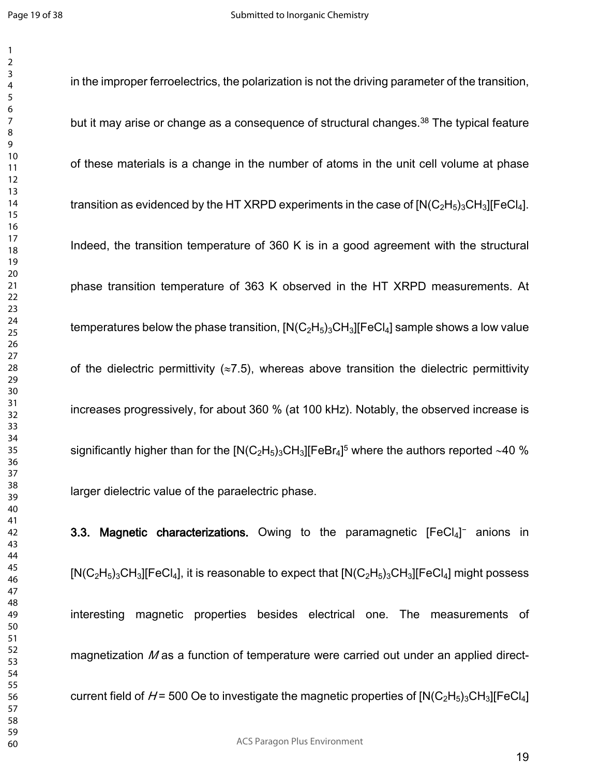in the improper ferroelectrics, the polarization is not the driving parameter of the transition, but it may arise or change as a consequence of structural changes.<sup>38</sup> The typical feature of these materials is a change in the number of atoms in the unit cell volume at phase transition as evidenced by the HT XRPD experiments in the case of  $[N(C_2H_5)_3CH_3][FeCl_4]$ . Indeed, the transition temperature of 360 K is in a good agreement with the structural phase transition temperature of 363 K observed in the HT XRPD measurements. At temperatures below the phase transition,  $[ N(C_2H_5)_3CH_3][FeCl_4]$  sample shows a low value of the dielectric permittivity ( $\approx$ 7.5), whereas above transition the dielectric permittivity increases progressively, for about 360 % (at 100 kHz). Notably, the observed increase is significantly higher than for the [N(C<sub>2</sub>H<sub>5</sub>)<sub>3</sub>CH<sub>3</sub>][FeBr<sub>4</sub>]<sup>5</sup> where the authors reported ~40 % larger dielectric value of the paraelectric phase.

**3.3. Magnetic characterizations.** Owing to the paramagnetic [FeCl<sub>4</sub>]<sup>-</sup> anions in  $[N(C_2H_5)_3CH_3]$ [FeCl<sub>4</sub>], it is reasonable to expect that  $[N(C_2H_5)_3CH_3]$ [FeCl<sub>4</sub>] might possess interesting magnetic properties besides electrical one. The measurements of magnetization *M* as a function of temperature were carried out under an applied directcurrent field of  $H = 500$  Oe to investigate the magnetic properties of  $[N(C_2H_5)_3CH_3]$  [FeCl<sub>4</sub>]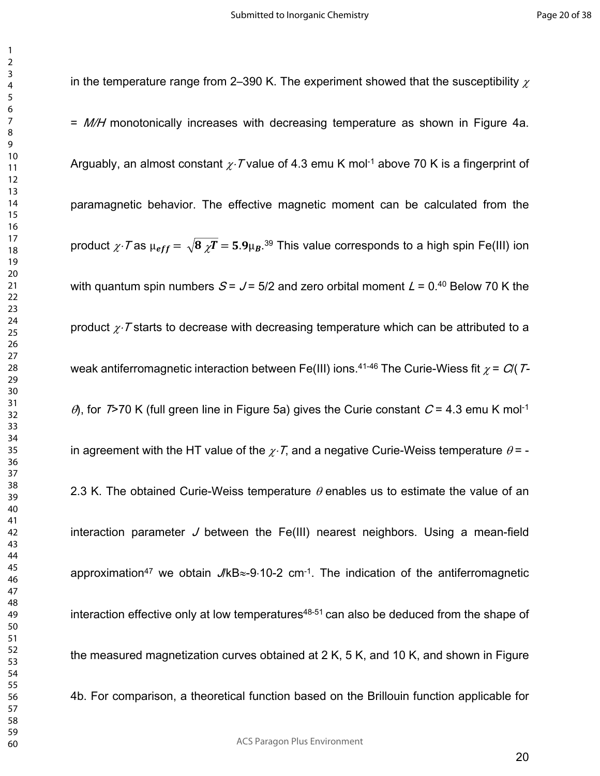in the temperature range from 2–390 K. The experiment showed that the susceptibility  $\chi$ 

= *M/H* monotonically increases with decreasing temperature as shown in Figure 4a. Arguably, an almost constant  $\chi$  T value of 4.3 emu K mol<sup>-1</sup> above 70 K is a fingerprint of paramagnetic behavior. The effective magnetic moment can be calculated from the product  $\chi\cdotp$  *T* as  $\mu_{eff}$  =  $\sqrt{8}$   $\chi$  **T** = 5.9 $\mu_{B}$ . $^{39}$  This value corresponds to a high spin Fe(III) ion with quantum spin numbers  $S = J = 5/2$  and zero orbital moment  $L = 0.40$  Below 70 K the product  $\chi$  T starts to decrease with decreasing temperature which can be attributed to a weak antiferromagnetic interaction between Fe(III) ions.<sup>41-46</sup> The Curie-Wiess fit  $\chi = C(T \theta$ , for *T*>70 K (full green line in Figure 5a) gives the Curie constant *C* = 4.3 emu K mol<sup>-1</sup> in agreement with the HT value of the  $\chi$ . T, and a negative Curie-Weiss temperature  $\theta$ = 2.3 K. The obtained Curie-Weiss temperature  $\theta$  enables us to estimate the value of an interaction parameter *J* between the Fe(III) nearest neighbors. Using a mean-field approximation<sup>47</sup> we obtain  $J/kB \approx -9.10-2$  cm<sup>-1</sup>. The indication of the antiferromagnetic interaction effective only at low temperatures $48-51$  can also be deduced from the shape of the measured magnetization curves obtained at 2 K, 5 K, and 10 K, and shown in Figure 4b. For comparison, a theoretical function based on the Brillouin function applicable for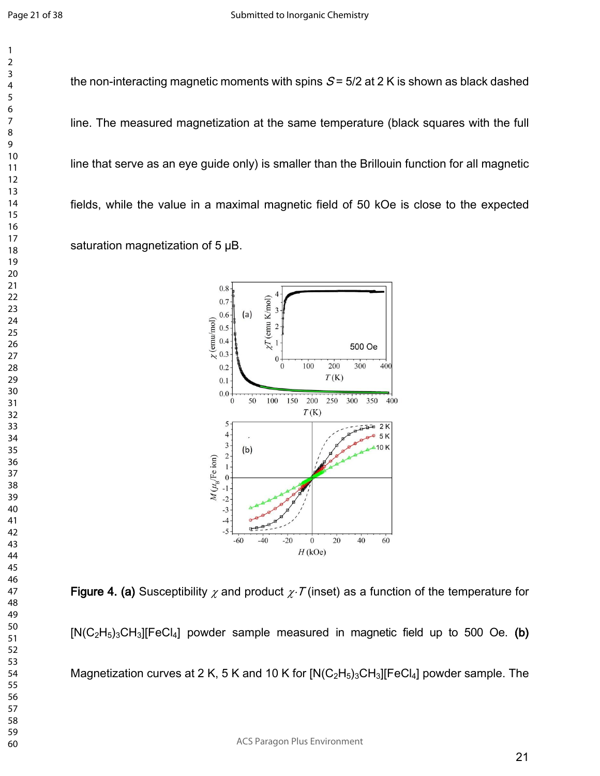the non-interacting magnetic moments with spins *S* = 5/2 at 2 K is shown as black dashed line. The measured magnetization at the same temperature (black squares with the full line that serve as an eye guide only) is smaller than the Brillouin function for all magnetic fields, while the value in a maximal magnetic field of 50 kOe is close to the expected saturation magnetization of 5  $\mu$ B.



**Figure 4. (a)** Susceptibility  $\chi$  and product  $\chi$  T (inset) as a function of the temperature for [N(C2H5)3CH3][FeCl4] powder sample measured in magnetic field up to 500 Oe. **(b)** Magnetization curves at 2 K, 5 K and 10 K for  $[N(C_2H_5)_3CH_3][FeCl_4]$  powder sample. The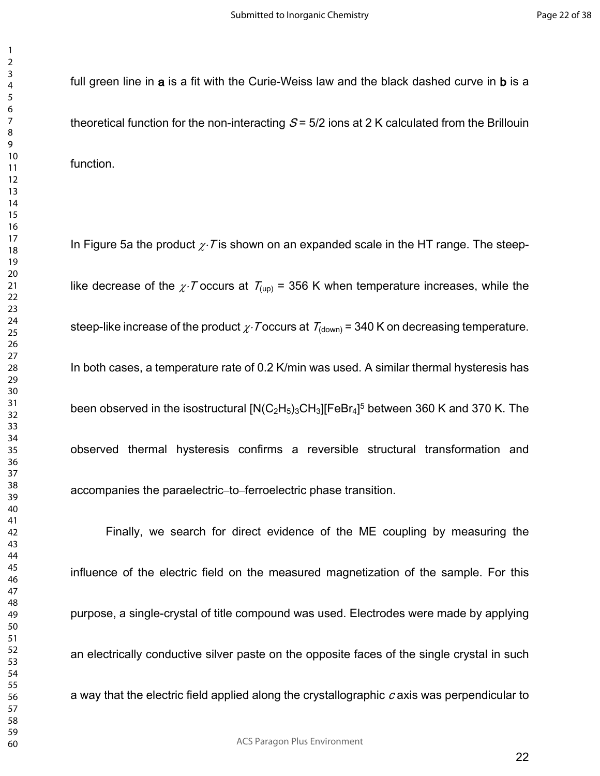full green line in **a** is a fit with the Curie-Weiss law and the black dashed curve in **b** is a theoretical function for the non-interacting *S* = 5/2 ions at 2 K calculated from the Brillouin function.

In Figure 5a the product  $\chi$  T is shown on an expanded scale in the HT range. The steeplike decrease of the  $\chi$  T occurs at  $T_{\text{(up)}}$  = 356 K when temperature increases, while the steep-like increase of the product  $\chi$  Toccurs at  $T_{\text{(down)}}$  = 340 K on decreasing temperature. In both cases, a temperature rate of 0.2 K/min was used. A similar thermal hysteresis has been observed in the isostructural  $[N(C_2H_5)_3CH_3][FeBr_4]^5$  between 360 K and 370 K. The observed thermal hysteresis confirms a reversible structural transformation and accompanies the paraelectric–to–ferroelectric phase transition.

Finally, we search for direct evidence of the ME coupling by measuring the influence of the electric field on the measured magnetization of the sample. For this purpose, a single-crystal of title compound was used. Electrodes were made by applying an electrically conductive silver paste on the opposite faces of the single crystal in such a way that the electric field applied along the crystallographic *c* axis was perpendicular to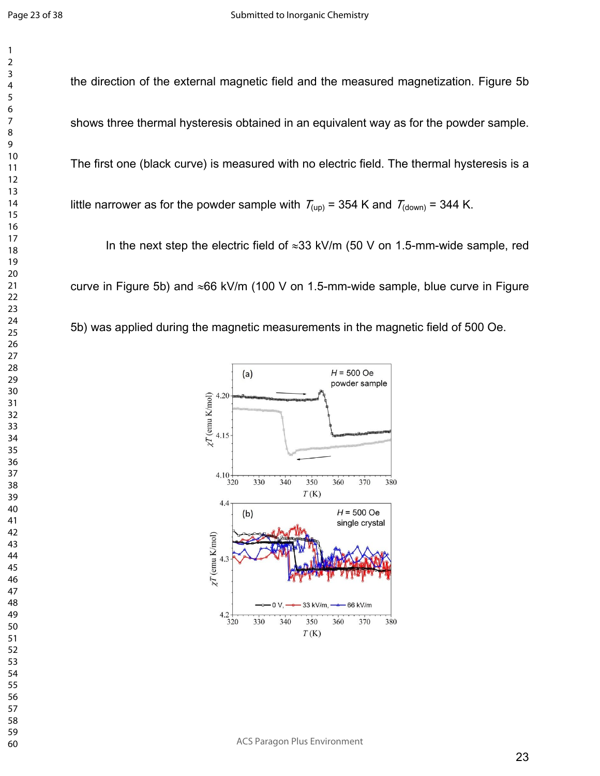the direction of the external magnetic field and the measured magnetization. Figure 5b shows three thermal hysteresis obtained in an equivalent way as for the powder sample. The first one (black curve) is measured with no electric field. The thermal hysteresis is a little narrower as for the powder sample with  $T_{(up)}$  = 354 K and  $T_{(down)}$  = 344 K. In the next step the electric field of  $\approx 33$  kV/m (50 V on 1.5-mm-wide sample, red

curve in Figure 5b) and  $\approx 66$  kV/m (100 V on 1.5-mm-wide sample, blue curve in Figure

5b) was applied during the magnetic measurements in the magnetic field of 500 Oe.

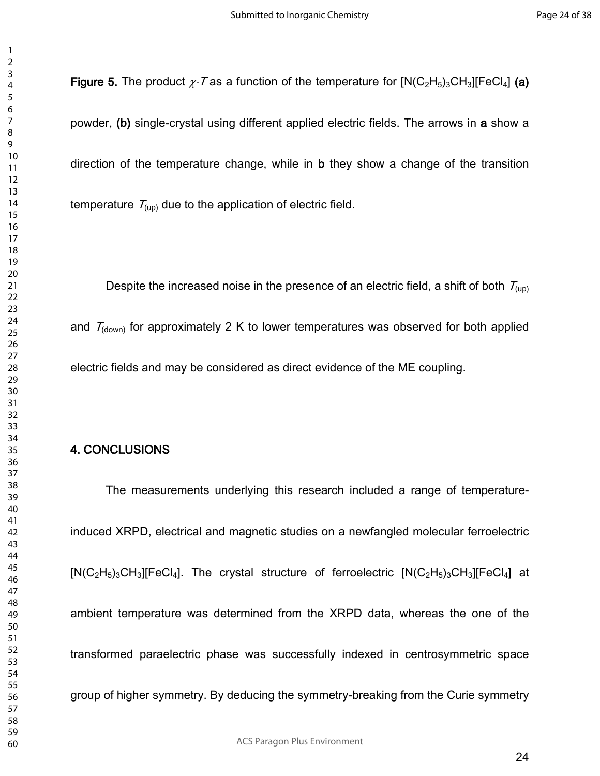**Figure 5.** The product  $\chi$  T as a function of the temperature for  $[N(C_2H_5)_3CH_3][FeCl_4]$  (a) powder, **(b)** single-crystal using different applied electric fields. The arrows in **a** show a direction of the temperature change, while in **b** they show a change of the transition temperature  $T_{(up)}$  due to the application of electric field.

Despite the increased noise in the presence of an electric field, a shift of both  $T_{(up)}$ and  $T_{(down)}$  for approximately 2 K to lower temperatures was observed for both applied electric fields and may be considered as direct evidence of the ME coupling.

#### **4. CONCLUSIONS**

The measurements underlying this research included a range of temperatureinduced XRPD, electrical and magnetic studies on a newfangled molecular ferroelectric  $[N(C_2H_5)_3CH_3]$ [FeCl<sub>4</sub>]. The crystal structure of ferroelectric  $[N(C_2H_5)_3CH_3]$ [FeCl<sub>4</sub>] at ambient temperature was determined from the XRPD data, whereas the one of the transformed paraelectric phase was successfully indexed in centrosymmetric space group of higher symmetry. By deducing the symmetry-breaking from the Curie symmetry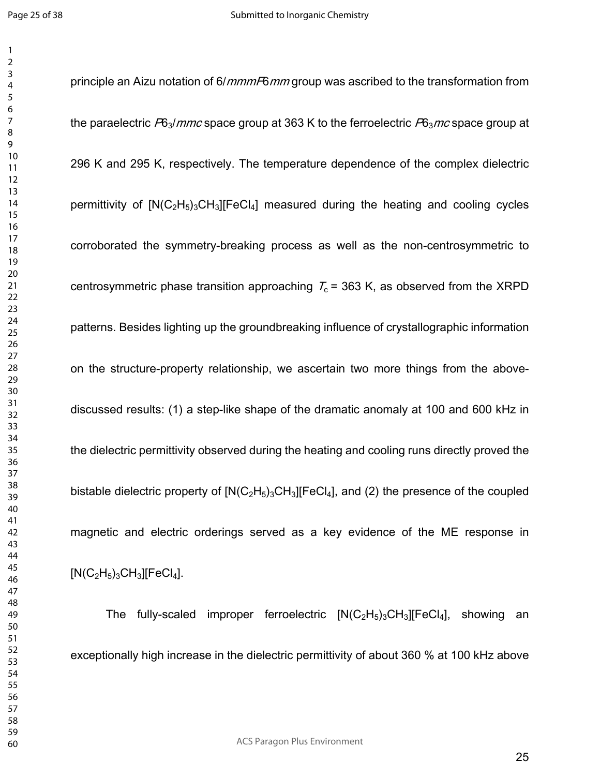principle an Aizu notation of 6/*mmmF*6*mm* group was ascribed to the transformation from

the paraelectric *P*6<sub>3</sub>/*mmc* space group at 363 K to the ferroelectric *P*6<sub>3</sub>*mc* space group at 296 K and 295 K, respectively. The temperature dependence of the complex dielectric permittivity of  $[N(C_2H_5)_3CH_3][FeCl_4]$  measured during the heating and cooling cycles corroborated the symmetry-breaking process as well as the non-centrosymmetric to centrosymmetric phase transition approaching  $T_c$  = 363 K, as observed from the XRPD patterns. Besides lighting up the groundbreaking influence of crystallographic information on the structure-property relationship, we ascertain two more things from the abovediscussed results: (1) a step-like shape of the dramatic anomaly at 100 and 600 kHz in the dielectric permittivity observed during the heating and cooling runs directly proved the bistable dielectric property of  $[N(C_2H_5)_3CH_3][FeCl_4]$ , and (2) the presence of the coupled magnetic and electric orderings served as a key evidence of the ME response in  $[N(C_2H_5)_3CH_3]$ [FeCl<sub>4</sub>].

The fully-scaled improper ferroelectric  $[ N(C_2H_5)_3CH_3]$ [FeCl<sub>4</sub>], showing an exceptionally high increase in the dielectric permittivity of about 360 % at 100 kHz above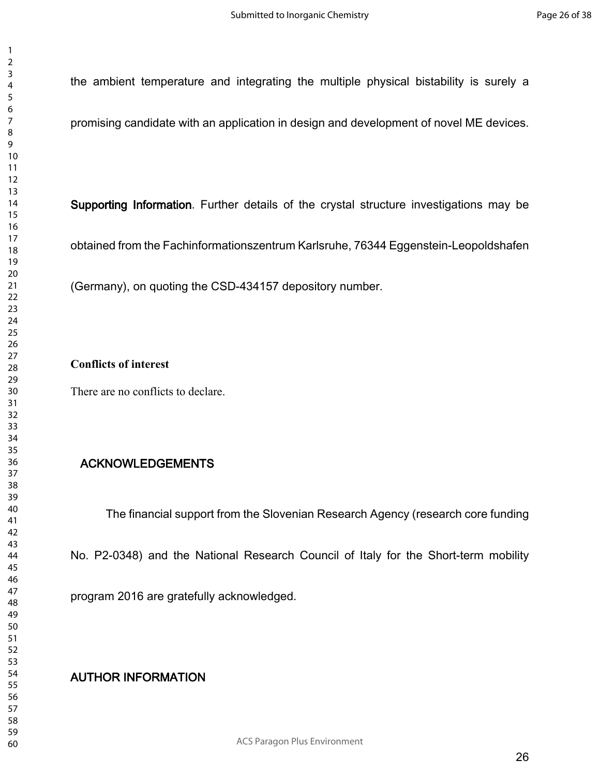the ambient temperature and integrating the multiple physical bistability is surely a

promising candidate with an application in design and development of novel ME devices.

**Supporting Information**. Further details of the crystal structure investigations may be obtained from the Fachinformationszentrum Karlsruhe, 76344 Eggenstein-Leopoldshafen

(Germany), on quoting the CSD-434157 depository number.

#### **Conflicts of interest**

There are no conflicts to declare.

## **ACKNOWLEDGEMENTS**

The financial support from the Slovenian Research Agency (research core funding No. P2-0348) and the National Research Council of Italy for the Short-term mobility

program 2016 are gratefully acknowledged.

## **AUTHOR INFORMATION**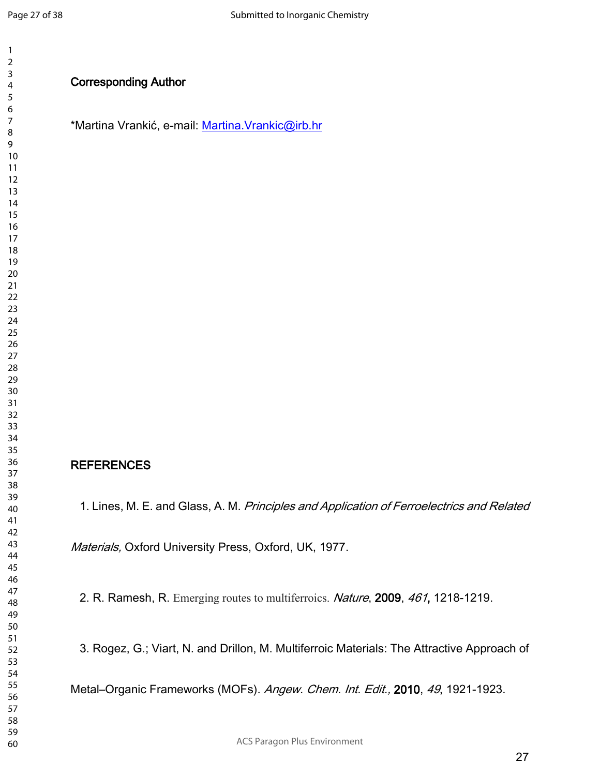**Corresponding Author**

\*Martina Vrankić, e-mail: [Martina.Vrankic@irb.hr](mailto:Martina.Vrankic@irb.hr)

## **REFERENCES**

1. Lines, M. E. and Glass, A. M. *Principles and Application of Ferroelectrics and Related* 

*Materials,* Oxford University Press, Oxford, UK, 1977.

2. R. Ramesh, R. Emerging routes to multiferroics. *Nature*, **2009**, *461***,** 1218-1219.

3. Rogez, G.; Viart, N. and Drillon, M. Multiferroic Materials: The Attractive Approach of

Metal–Organic Frameworks (MOFs). *Angew. Chem. Int. Edit.,* **2010**, *49*, 1921-1923.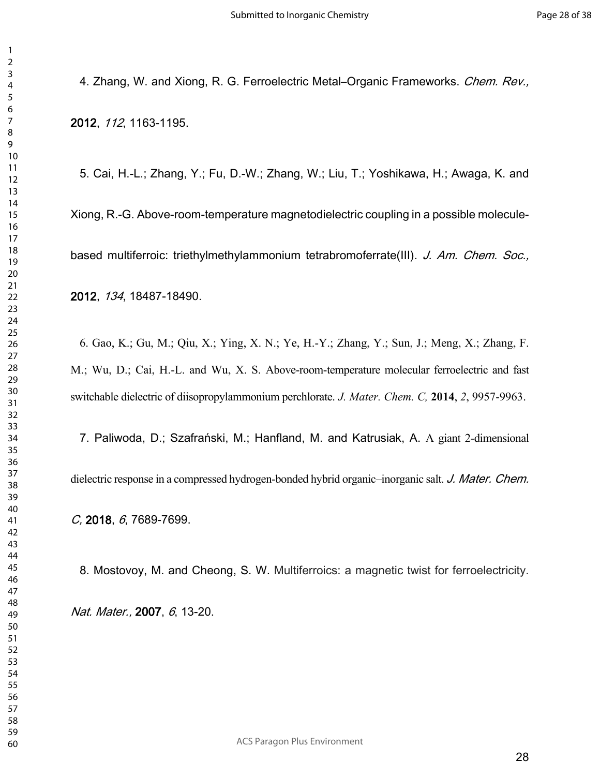4. Zhang, W. and Xiong, R. G. Ferroelectric Metal–Organic Frameworks. *Chem. Rev.,* , *112*, 1163-1195.

5. Cai, H.-L.; Zhang, Y.; Fu, D.-W.; Zhang, W.; Liu, T.; Yoshikawa, H.; Awaga, K. and Xiong, R.-G. Above-room-temperature magnetodielectric coupling in a possible moleculebased multiferroic: triethylmethylammonium tetrabromoferrate(III). *J. Am. Chem. Soc.,* , *134*, 18487-18490.

6. Gao, K.; Gu, M.; Qiu, X.; Ying, X. N.; Ye, H.-Y.; Zhang, Y.; Sun, J.; Meng, X.; Zhang, F. M.; Wu, D.; Cai, H.-L. and Wu, X. S. Above-room-temperature molecular ferroelectric and fast switchable dielectric of diisopropylammonium perchlorate. *J. Mater. Chem. C,* **2014**, *2*, 9957-9963.

7. Paliwoda, D.; Szafrański, M.; Hanfland, M. and Katrusiak, A. A giant 2-dimensional dielectric response in a compressed hydrogen-bonded hybrid organic–inorganic salt. *J. Mater. Chem. C,* **2018**, *6*, 7689-7699.

8. Mostovoy, M. and Cheong, S. W. Multiferroics: a magnetic twist for ferroelectricity.

*Nat. Mater.,* **2007**, *6*, 13-20.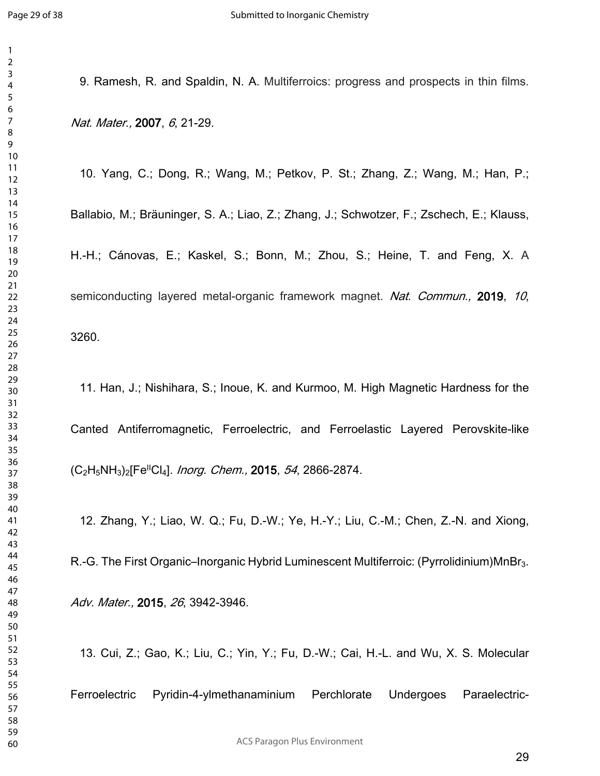9. Ramesh, R. and Spaldin, N. A. Multiferroics: progress and prospects in thin films. *Nat. Mater.,* **2007**, *6*, 21-29. 10. Yang, C.; Dong, R.; Wang, M.; Petkov, P. St.; Zhang, Z.; Wang, M.; Han, P.; Ballabio, M.; Bräuninger, S. A.; Liao, Z.; Zhang, J.; Schwotzer, F.; Zschech, E.; Klauss, H.-H.; Cánovas, E.; Kaskel, S.; Bonn, M.; Zhou, S.; Heine, T. and Feng, X. A semiconducting layered metal-organic framework magnet. *Nat. Commun.,* **2019**, *10*, 3260. 11. Han, J.; Nishihara, S.; Inoue, K. and Kurmoo, M. High Magnetic Hardness for the

(C2H5NH3)2[FeIICl4]. *Inorg. Chem.,* **2015**, *54*, 2866-2874.

12. Zhang, Y.; Liao, W. Q.; Fu, D.‐W.; Ye, H.‐Y.; Liu, C.‐M.; Chen, Z.‐N. and Xiong,

Canted Antiferromagnetic, Ferroelectric, and Ferroelastic Layered Perovskite-like

R.-G. The First Organic–Inorganic Hybrid Luminescent Multiferroic: (Pyrrolidinium)MnBr<sub>3</sub>.

*Adv. Mater.,* **2015**, *26*, 3942-3946.

13. Cui, Z.; Gao, K.; Liu, C.; Yin, Y.; Fu, D.-W.; Cai, H.-L. and Wu, X. S. Molecular

Ferroelectric Pyridin-4-ylmethanaminium Perchlorate Undergoes Paraelectric-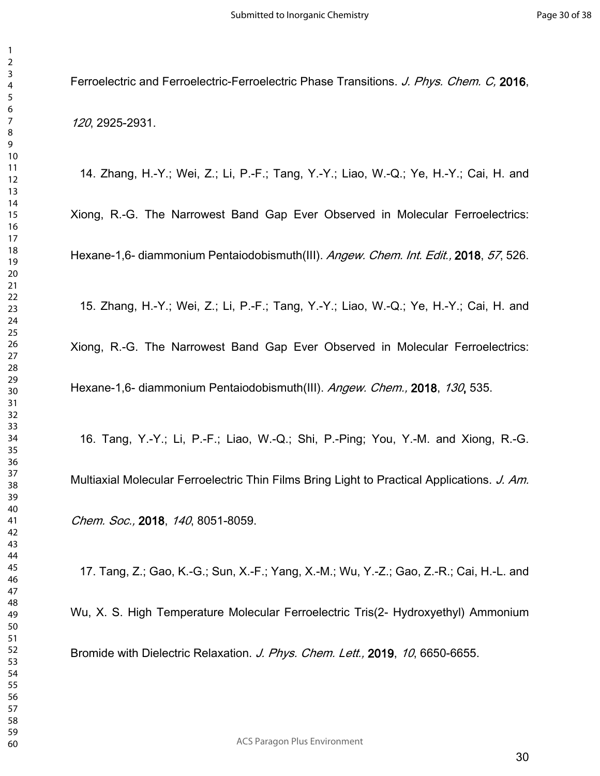Ferroelectric and Ferroelectric-Ferroelectric Phase Transitions. *J. Phys. Chem. C,* **2016**, , 2925-2931.

14. Zhang, H.‐Y.; Wei, Z.; Li, P.‐F.; Tang, Y.‐Y.; Liao, W.‐Q.; Ye, H.‐Y.; Cai, H. and Xiong, R.‐G. The Narrowest Band Gap Ever Observed in Molecular Ferroelectrics: Hexane-1,6- diammonium Pentaiodobismuth(III). *Angew. Chem. Int. Edit.,* **2018**, *57*, 526. 15. Zhang, H.‐Y.; Wei, Z.; Li, P.‐F.; Tang, Y.‐Y.; Liao, W.‐Q.; Ye, H.‐Y.; Cai, H. and Xiong, R.‐G. The Narrowest Band Gap Ever Observed in Molecular Ferroelectrics: Hexane-1,6- diammonium Pentaiodobismuth(III). *Angew. Chem.,* **2018**, *130***,** 535.

Multiaxial Molecular Ferroelectric Thin Films Bring Light to Practical Applications. *J. Am.* 

16. Tang, Y.-Y.; Li, P.-F.; Liao, W.-Q.; Shi, P.-Ping; You, Y.-M. and Xiong, R.-G.

*Chem. Soc.,* **2018**, *140*, 8051-8059.

Wu, X. S. High Temperature Molecular Ferroelectric Tris(2- Hydroxyethyl) Ammonium Bromide with Dielectric Relaxation. *J. Phys. Chem. Lett.,* **2019**, *10*, 6650-6655.

17. Tang, Z.; Gao, K.-G.; Sun, X.-F.; Yang, X.-M.; Wu, Y.-Z.; Gao, Z.-R.; Cai, H.-L. and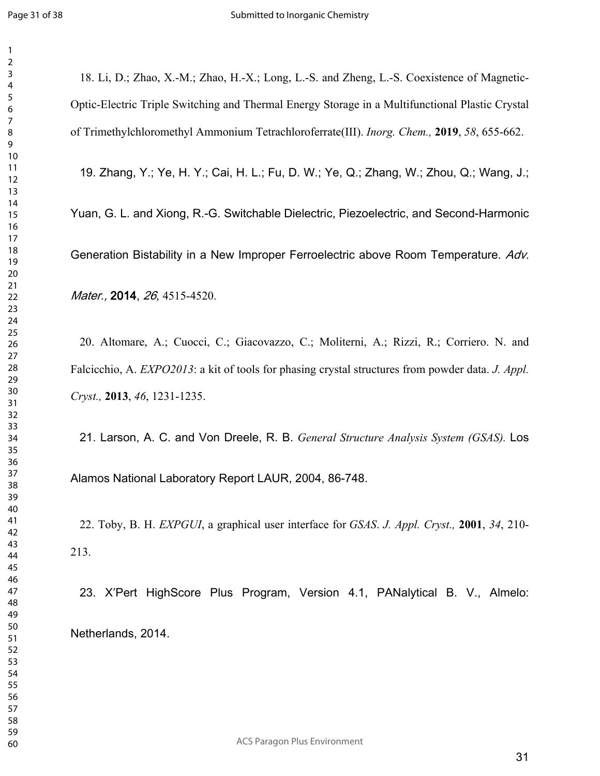18. Li, D.; Zhao, X.-M.; Zhao, H.-X.; Long, L.-S. and Zheng, L.-S. [Coexistence of Magnetic-](https://pubs.acs.org/doi/10.1021/acs.inorgchem.8b02835)[Optic-Electric Triple Switching and Thermal Energy Storage in a Multifunctional Plastic Crystal](https://pubs.acs.org/doi/10.1021/acs.inorgchem.8b02835)  [of Trimethylchloromethyl Ammonium Tetrachloroferrate\(III\)](https://pubs.acs.org/doi/10.1021/acs.inorgchem.8b02835). *Inorg. Chem.,* **2019**, *58*, 655-662. 19. Zhang, Y.; Ye, H. Y.; Cai, H. L.; Fu, D. W.; Ye, Q.; Zhang, W.; Zhou, Q.; Wang, J.; Yuan, G. L. and Xiong, R.-G. Switchable Dielectric, Piezoelectric, and Second-Harmonic Generation Bistability in a New Improper Ferroelectric above Room Temperature. *Adv. Mater.,* **2014**, *26*, 4515-4520.

20. Altomare, A.; Cuocci, C.; Giacovazzo, C.; Moliterni, A.; Rizzi, R.; Corriero. N. and Falcicchio, A. *EXPO2013*[: a kit of tools for phasing crystal structures from powder data.](http://journals.iucr.org/j/issues/2013/04/00/kk5141/index.html) *J. Appl. Cryst.,* **2013**, *46*, 1231-1235.

21. Larson, A. C. and Von Dreele, R. B. *General Structure Analysis System (GSAS).* Los Alamos National Laboratory Report LAUR, 2004, 86-748.

22. Toby, B. H. *EXPGUI*[, a graphical user interface for](https://journals.iucr.org/j/issues/2001/02/00/hw0089/index.html) *GSAS*. *J. Appl. Cryst.,* **2001**, *34*, 210- 213.

23. X′Pert HighScore Plus Program, Version 4.1, PANalytical B. V., Almelo: Netherlands, 2014.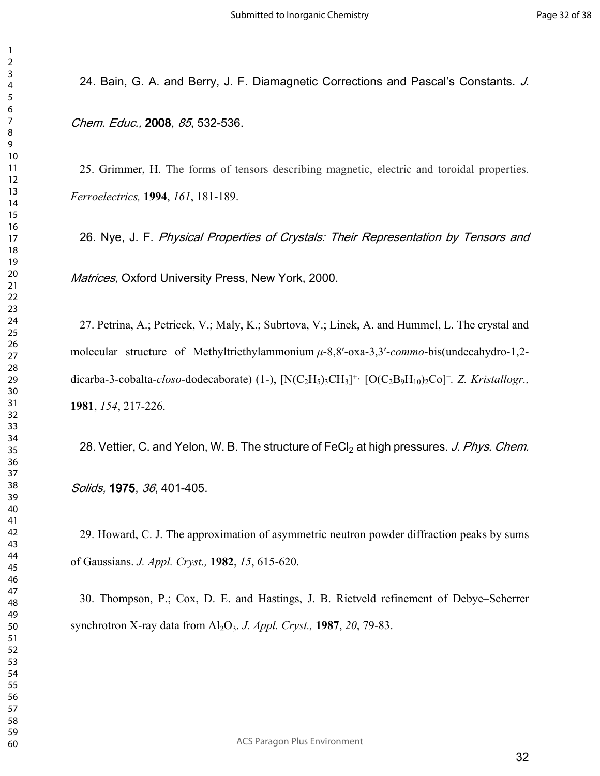24. Bain, G. A. and Berry, J. F. Diamagnetic Corrections and Pascal's Constants. *J.* 

*Chem. Educ.,* **2008**, *85*, 532-536.

25. Grimmer, H. The forms of tensors describing magnetic, electric and toroidal properties. *Ferroelectrics,* **1994**, *161*, 181-189.

26. Nye, J. F. *Physical Properties of Crystals: Their Representation by Tensors and Matrices,* Oxford University Press, New York, 2000.

27. Petrina, A.; Petricek, V.; Maly, K.; Subrtova, V.; Linek, A. and Hummel, L. The crystal and molecular structure of Methyltriethylammonium *μ*-8,8′-oxa-3,3′-*commo*-bis(undecahydro-1,2 dicarba-3-cobalta-*closo*-dodecaborate) (1-), [N(C2H5)3CH3] + · [O(C2B9H10)2Co]<sup>−</sup> *. Z. Kristallogr.,* , *154*, 217-226.

28. Vettier, C. and Yelon, W. B. The structure of FeCl<sub>2</sub> at high pressures. *J. Phys. Chem. Solids,* **1975**, *36*, 401-405.

29. Howard, C. J. [The approximation of asymmetric neutron powder diffraction peaks by sums](https://journals.iucr.org/j/issues/1982/06/00/a21858/a21858.pdf)  [of Gaussians.](https://journals.iucr.org/j/issues/1982/06/00/a21858/a21858.pdf) *J. Appl. Cryst.,* **1982**, *15*, 615-620.

30. Thompson, P.; Cox, D. E. and Hastings, J. B. [Rietveld refinement of Debye–Scherrer](https://journals.iucr.org/j/issues/1987/02/00/a27720/a27720.pdf)  [synchrotron X-ray data from Al](https://journals.iucr.org/j/issues/1987/02/00/a27720/a27720.pdf)2O3. *J. Appl. Cryst.,* **1987**, *20*, 79-83.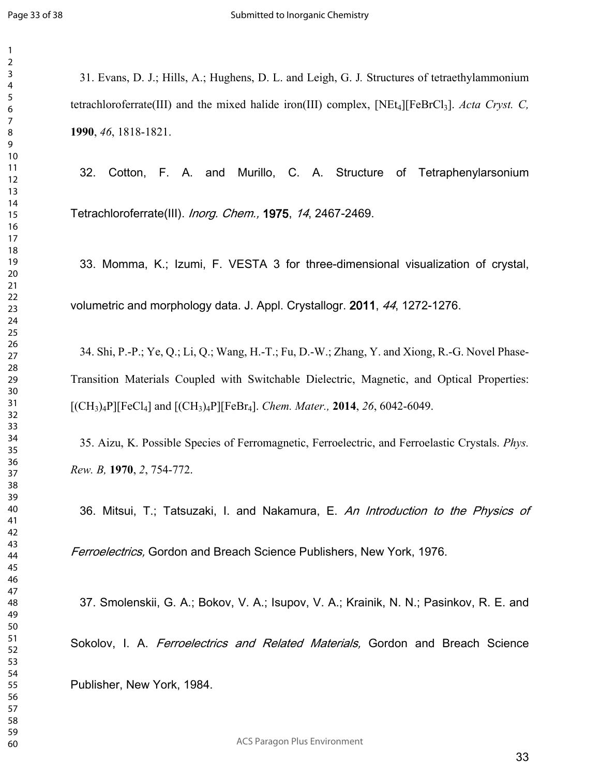31. Evans, D. J.; Hills, A.; Hughens, D. L. and Leigh, G. J*.* [Structures of tetraethylammonium](https://journals.iucr.org/c/issues/1990/10/00/an0309/an0309.pdf)  tetrachloroferrate(III) and the mixed halide iron(III) complex,  $[NEt_4][FeBrCl_3]$ . *Acta Cryst. C,* , *46*, 1818-1821.

32. Cotton, F. A. and Murillo, C. A. Structure of Tetraphenylarsonium Tetrachloroferrate(III). *Inorg. Chem.,* **1975**, *14*, 2467-2469.

33. Momma, K.; Izumi, F. VESTA 3 for three-dimensional visualization of crystal, volumetric and morphology data. J. Appl. Crystallogr. **2011**, *44*, 1272-1276.

34. Shi, P.-P.; Ye, Q.; Li, Q.; Wang, H.-T.; Fu, D.-W.; Zhang, Y. and Xiong, R.-G. Novel Phase-Transition Materials Coupled with Switchable Dielectric, Magnetic, and Optical Properties:  $[|CH_3]_4P$  $[FeCl_4]$  and  $[|CH_3]_4P$  $[FeBr_4]$ . *Chem. Mater.*, **2014**, *26*, 6042-6049.

35. Aizu, K. Possible Species of Ferromagnetic, Ferroelectric, and Ferroelastic Crystals. *Phys. Rew. B,* **1970**, *2*, 754-772.

36. Mitsui, T.; Tatsuzaki, I. and Nakamura, E. *An Introduction to the Physics of* 

*Ferroelectrics,* Gordon and Breach Science Publishers, New York, 1976.

37. Smolenskii, G. A.; Bokov, V. A.; Isupov, V. A.; Krainik, N. N.; Pasinkov, R. E. and Sokolov, I. A. *Ferroelectrics and Related Materials,* Gordon and Breach Science Publisher, New York, 1984.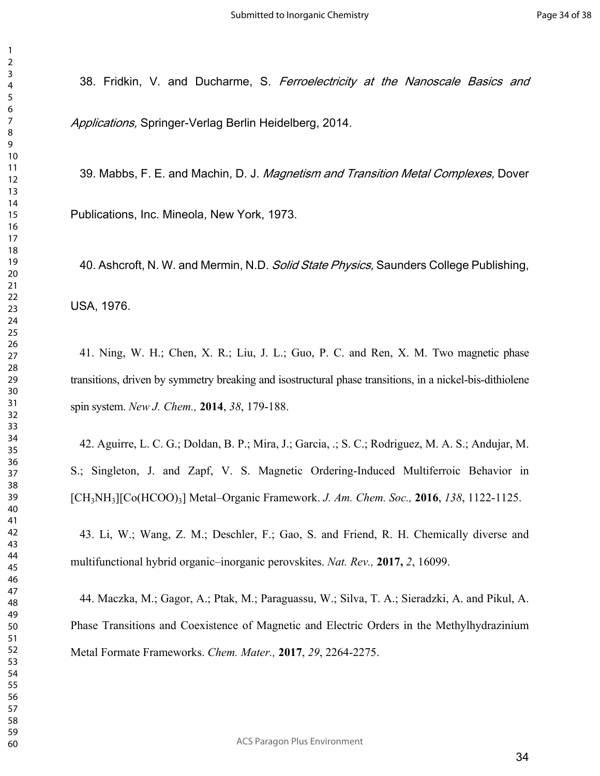38. Fridkin, V. and Ducharme, S. *Ferroelectricity at the Nanoscale Basics and Applications,* Springer-Verlag Berlin Heidelberg, 2014.

39. Mabbs, F. E. and Machin, D. J. *Magnetism and Transition Metal Complexes,* Dover

Publications, Inc. Mineola, New York, 1973.

40. Ashcroft, N. W. and Mermin, N.D. *Solid State Physics,* Saunders College Publishing,

USA, 1976.

41. Ning, W. H.; Chen, X. R.; Liu, J. L.; Guo, P. C. and Ren, X. M. [Two magnetic phase](https://pubs.rsc.org/en/content/articlelanding/2014/nj/c3nj01101a)  [transitions, driven by symmetry breaking and isostructural phase transitions, in a nickel-bis-dithiolene](https://pubs.rsc.org/en/content/articlelanding/2014/nj/c3nj01101a)  [spin system.](https://pubs.rsc.org/en/content/articlelanding/2014/nj/c3nj01101a) *New J. Chem.,* **2014**, *38*, 179-188.

42. Aguirre, L. C. G.; Doldan, B. P.; Mira, J.; Garcia, .; S. C.; Rodriguez, M. A. S.; Andujar, M. S.; Singleton, J. and Zapf, V. S. Magnetic Ordering-Induced Multiferroic Behavior in [CH3NH3][Co(HCOO)3] Metal–Organic Framework. *J. Am. Chem. Soc.,* **2016**, *138*, 1122-1125.

43. Li, W.; Wang, Z. M.; Deschler, F.; Gao, S. and Friend, R. H. Chemically diverse and multifunctional hybrid organic–inorganic perovskites. *Nat. Rev.,* **2017,** *2*, 16099.

44. Maczka, M.; Gagor, A.; Ptak, M.; Paraguassu, W.; Silva, T. A.; Sieradzki, A. and Pikul, A. Phase Transitions and Coexistence of Magnetic and Electric Orders in the Methylhydrazinium Metal Formate Frameworks. *Chem. Mater.,* **2017**, *29*, 2264-2275.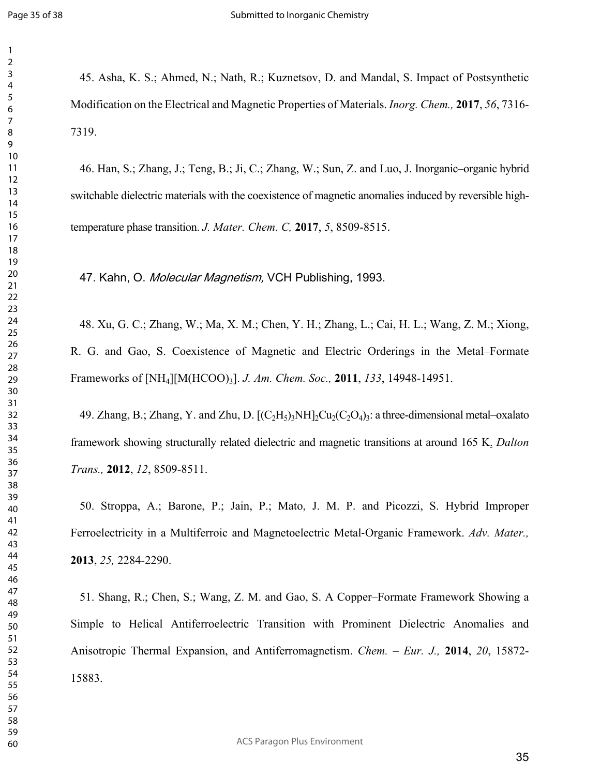45. Asha, K. S.; Ahmed, N.; Nath, R.; Kuznetsov, D. and Mandal, S. Impact of Postsynthetic Modification on the Electrical and Magnetic Properties of Materials. *Inorg. Chem.,* **2017**, *56*, 7316- 7319.

46. Han, S.; Zhang, J.; Teng, B.; Ji, C.; Zhang, W.; Sun, Z. and Luo, J. Inorganic–organic hybrid switchable dielectric materials with the coexistence of magnetic anomalies induced by reversible hightemperature phase transition. *J. Mater. Chem. C,* **2017**, *5*, 8509-8515.

47. Kahn, O. *Molecular Magnetism,* VCH Publishing, 1993.

48. Xu, G. C.; Zhang, W.; Ma, X. M.; Chen, Y. H.; Zhang, L.; Cai, H. L.; Wang, Z. M.; Xiong, R. G. and Gao, S. Coexistence of Magnetic and Electric Orderings in the Metal–Formate Frameworks of [NH4][M(HCOO)3]. *J. Am. Chem. Soc.,* **2011**, *133*, 14948-14951.

49. Zhang, B.; Zhang, Y. and Zhu, D.  $[(C_2H_5)_3NH]_2Cu_2(C_2O_4)_3$ : a three-dimensional metal–oxalato framework showing structurally related dielectric and magnetic transitions at around 165 [K.](https://pubs.rsc.org/en/content/articlelanding/2012/dt/c2dt30818e#fn1) *Dalton Trans.,* **2012**, *12*, 8509-8511.

50. Stroppa, A.; Barone, P.; Jain, P.; Mato, J. M. P. and Picozzi, S. Hybrid Improper Ferroelectricity in a Multiferroic and Magnetoelectric Metal‐Organic Framework. *Adv. Mater.,* , *25,* 2284-2290.

51. Shang, R.; Chen, S.; Wang, Z. M. and Gao, S. A Copper–Formate Framework Showing a Simple to Helical Antiferroelectric Transition with Prominent Dielectric Anomalies and Anisotropic Thermal Expansion, and Antiferromagnetism. *Chem. – Eur. J.,* **2014**, *20*, 15872- 15883.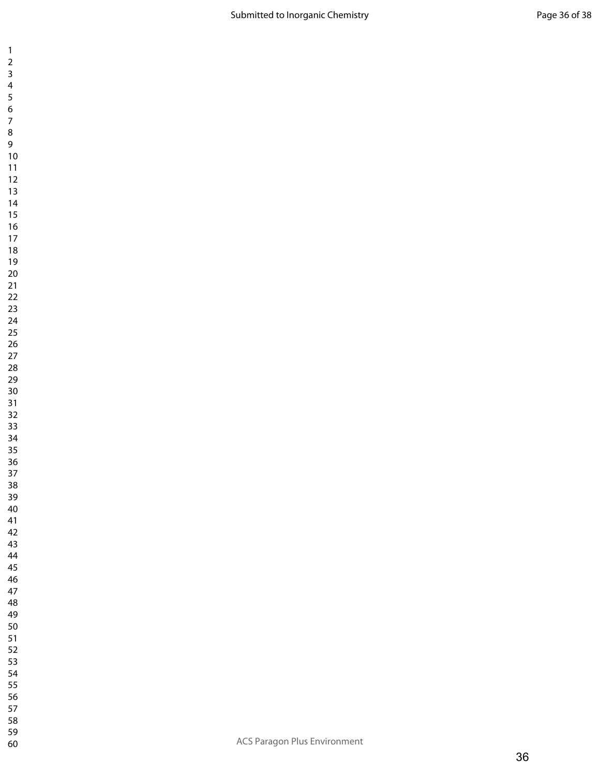$\mathbf{1}$  $\overline{2}$ 

- 
- 
- 
- 
- 
- 
- 
- 
- 
- 
- 
- 
- 
- 
- 
- 
-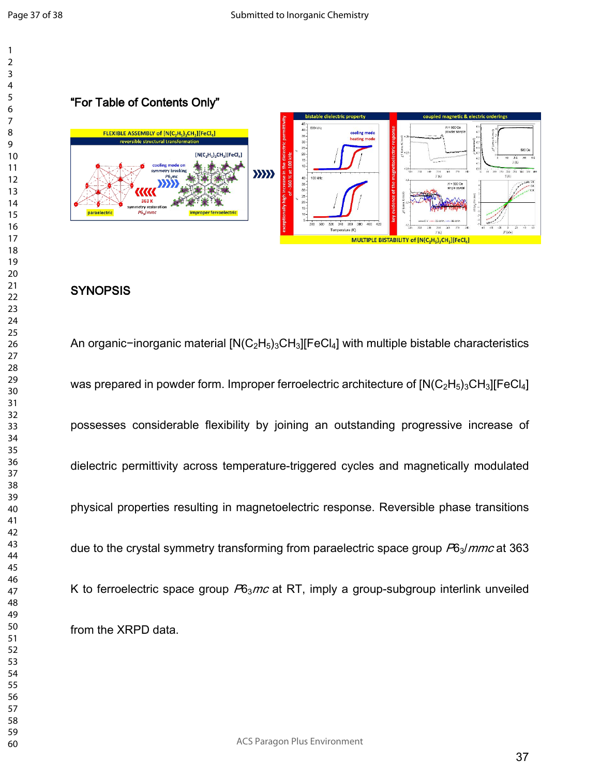

## **SYNOPSIS**

An organic−inorganic material [N(C<sub>2</sub>H<sub>5</sub>)<sub>3</sub>CH<sub>3</sub>][FeCl<sub>4</sub>] with multiple bistable characteristics was prepared in powder form. Improper ferroelectric architecture of  $[N(C_2H_5)_3CH_3][FeCl_4]$ possesses considerable flexibility by joining an outstanding progressive increase of dielectric permittivity across temperature-triggered cycles and magnetically modulated physical properties resulting in magnetoelectric response. Reversible phase transitions due to the crystal symmetry transforming from paraelectric space group  $P6<sub>3</sub>/mmc$  at 363 K to ferroelectric space group  $P6<sub>3</sub>mc$  at RT, imply a group-subgroup interlink unveiled from the XRPD data.